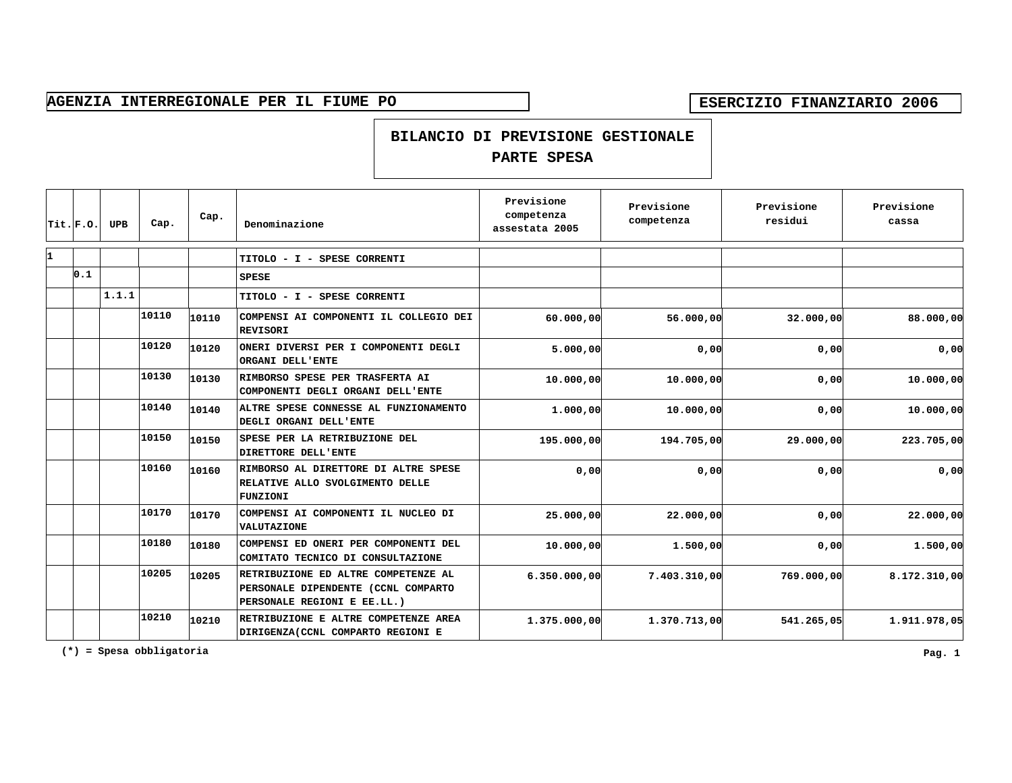**BILANCIO DI PREVISIONE GESTIONALE**

## **PARTE SPESA**

|    | $ $ Tit. $ $ F.O. | <b>UPB</b> | Cap.  | Cap.  | Denominazione                                                                                             | Previsione<br>competenza<br>assestata 2005 | Previsione<br>competenza | Previsione<br>residui | Previsione<br>cassa |
|----|-------------------|------------|-------|-------|-----------------------------------------------------------------------------------------------------------|--------------------------------------------|--------------------------|-----------------------|---------------------|
| I1 |                   |            |       |       | TITOLO - I - SPESE CORRENTI                                                                               |                                            |                          |                       |                     |
|    | 0.1               |            |       |       | <b>SPESE</b>                                                                                              |                                            |                          |                       |                     |
|    |                   | 1.1.1      |       |       | TITOLO - I - SPESE CORRENTI                                                                               |                                            |                          |                       |                     |
|    |                   |            | 10110 | 10110 | COMPENSI AI COMPONENTI IL COLLEGIO DEI<br><b>REVISORI</b>                                                 | 60.000,00                                  | 56.000,00                | 32.000,00             | 88.000,00           |
|    |                   |            | 10120 | 10120 | ONERI DIVERSI PER I COMPONENTI DEGLI<br>ORGANI DELL'ENTE                                                  | 5.000,00                                   | 0,00                     | 0,00                  | 0,00                |
|    |                   |            | 10130 | 10130 | RIMBORSO SPESE PER TRASFERTA AI<br>COMPONENTI DEGLI ORGANI DELL'ENTE                                      | 10,000,00                                  | 10,000,00                | 0,00                  | 10.000,00           |
|    |                   |            | 10140 | 10140 | ALTRE SPESE CONNESSE AL FUNZIONAMENTO<br>DEGLI ORGANI DELL'ENTE                                           | 1.000,00                                   | 10.000,00                | 0,00                  | 10.000,00           |
|    |                   |            | 10150 | 10150 | SPESE PER LA RETRIBUZIONE DEL<br>DIRETTORE DELL'ENTE                                                      | 195.000,00                                 | 194.705,00               | 29.000,00             | 223.705,00          |
|    |                   |            | 10160 | 10160 | RIMBORSO AL DIRETTORE DI ALTRE SPESE<br>RELATIVE ALLO SVOLGIMENTO DELLE<br><b>FUNZIONI</b>                | 0,00                                       | 0,00                     | 0,00                  | 0,00                |
|    |                   |            | 10170 | 10170 | COMPENSI AI COMPONENTI IL NUCLEO DI<br>VALUTAZIONE                                                        | 25.000,00                                  | 22.000,00                | 0,00                  | 22.000,00           |
|    |                   |            | 10180 | 10180 | COMPENSI ED ONERI PER COMPONENTI DEL<br>COMITATO TECNICO DI CONSULTAZIONE                                 | 10.000,00                                  | 1.500,00                 | 0,00                  | 1,500,00            |
|    |                   |            | 10205 | 10205 | RETRIBUZIONE ED ALTRE COMPETENZE AL<br>PERSONALE DIPENDENTE (CCNL COMPARTO<br>PERSONALE REGIONI E EE.LL.) | 6.350.000,00                               | 7.403.310,00             | 769.000,00            | 8.172.310,00        |
|    |                   |            | 10210 | 10210 | RETRIBUZIONE E ALTRE COMPETENZE AREA<br>DIRIGENZA (CCNL COMPARTO REGIONI E                                | 1.375.000,00                               | 1.370.713,00             | 541.265,05            | 1.911.978,05        |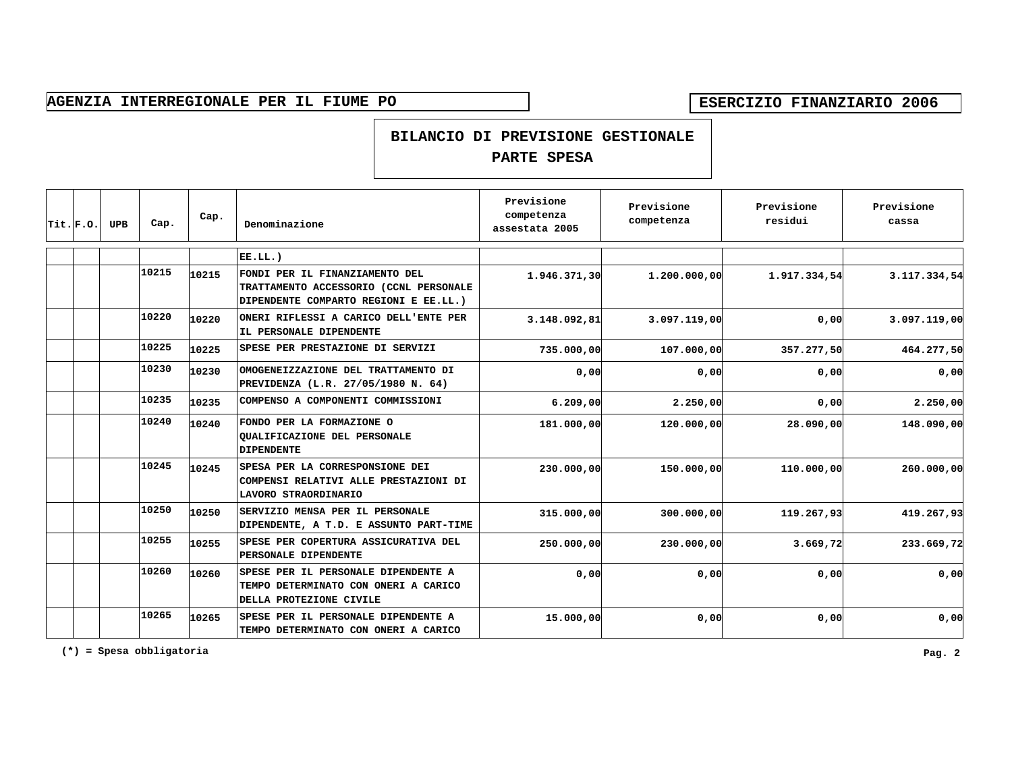### **BILANCIO DI PREVISIONE GESTIONALE**

## **PARTE SPESA**

| $ $ Tit. $ $ F.O. | <b>UPB</b> | Cap.  | Cap.  | Denominazione                                                                                                     | Previsione<br>competenza<br>assestata 2005 | Previsione<br>competenza | Previsione<br>residui | Previsione<br>cassa |
|-------------------|------------|-------|-------|-------------------------------------------------------------------------------------------------------------------|--------------------------------------------|--------------------------|-----------------------|---------------------|
|                   |            |       |       | $EE.LL.$ )                                                                                                        |                                            |                          |                       |                     |
|                   |            | 10215 | 10215 | FONDI PER IL FINANZIAMENTO DEL<br>TRATTAMENTO ACCESSORIO (CCNL PERSONALE<br>DIPENDENTE COMPARTO REGIONI E EE.LL.) | 1.946.371,30                               | 1.200.000,00             | 1.917.334,54          | 3.117.334,54        |
|                   |            | 10220 | 10220 | ONERI RIFLESSI A CARICO DELL'ENTE PER<br>IL PERSONALE DIPENDENTE                                                  | 3.148.092, 81                              | 3.097.119,00             | 0,00                  | 3.097.119,00        |
|                   |            | 10225 | 10225 | SPESE PER PRESTAZIONE DI SERVIZI                                                                                  | 735.000,00                                 | 107.000,00               | 357.277,50            | 464.277,50          |
|                   |            | 10230 | 10230 | OMOGENEIZZAZIONE DEL TRATTAMENTO DI<br>PREVIDENZA (L.R. 27/05/1980 N. 64)                                         | 0,00                                       | 0,00                     | 0,00                  | 0,00                |
|                   |            | 10235 | 10235 | COMPENSO A COMPONENTI COMMISSIONI                                                                                 | 6.209.00                                   | 2,250,00                 | 0,00                  | 2.250,00            |
|                   |            | 10240 | 10240 | FONDO PER LA FORMAZIONE O<br>QUALIFICAZIONE DEL PERSONALE<br><b>DIPENDENTE</b>                                    | 181.000,00                                 | 120.000,00               | 28.090,00             | 148.090,00          |
|                   |            | 10245 | 10245 | SPESA PER LA CORRESPONSIONE DEI<br>COMPENSI RELATIVI ALLE PRESTAZIONI DI<br>LAVORO STRAORDINARIO                  | 230,000,00                                 | 150.000,00               | 110,000,00            | 260.000,00          |
|                   |            | 10250 | 10250 | SERVIZIO MENSA PER IL PERSONALE<br>DIPENDENTE, A T.D. E ASSUNTO PART-TIME                                         | 315.000,00                                 | 300,000,00               | 119.267,93            | 419.267,93          |
|                   |            | 10255 | 10255 | SPESE PER COPERTURA ASSICURATIVA DEL<br>PERSONALE DIPENDENTE                                                      | 250.000,00                                 | 230.000,00               | 3.669,72              | 233.669,72          |
|                   |            | 10260 | 10260 | SPESE PER IL PERSONALE DIPENDENTE A<br>TEMPO DETERMINATO CON ONERI A CARICO<br>DELLA PROTEZIONE CIVILE            | 0,00                                       | 0,00                     | 0,00                  | 0,00                |
|                   |            | 10265 | 10265 | SPESE PER IL PERSONALE DIPENDENTE A<br>TEMPO DETERMINATO CON ONERI A CARICO                                       | 15.000,00                                  | 0,00                     | 0,00                  | 0,00                |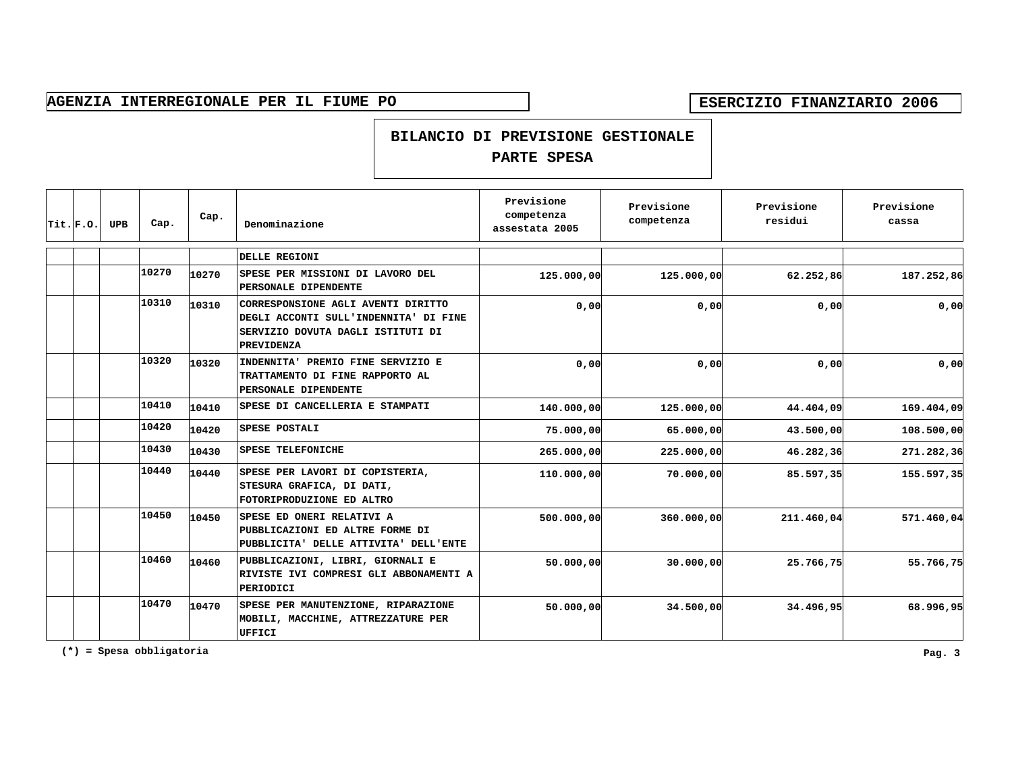### **BILANCIO DI PREVISIONE GESTIONALE**

## **PARTE SPESA**

| Trit.F.0. | <b>UPB</b> | Cap.  | Cap.  | Denominazione                                                                                                                         | Previsione<br>competenza<br>assestata 2005 | Previsione<br>competenza | Previsione<br>residui | Previsione<br>cassa |
|-----------|------------|-------|-------|---------------------------------------------------------------------------------------------------------------------------------------|--------------------------------------------|--------------------------|-----------------------|---------------------|
|           |            |       |       | DELLE REGIONI                                                                                                                         |                                            |                          |                       |                     |
|           |            | 10270 | 10270 | SPESE PER MISSIONI DI LAVORO DEL<br>PERSONALE DIPENDENTE                                                                              | 125.000,00                                 | 125,000,00               | 62.252,86             | 187.252,86          |
|           |            | 10310 | 10310 | CORRESPONSIONE AGLI AVENTI DIRITTO<br>DEGLI ACCONTI SULL'INDENNITA' DI FINE<br>SERVIZIO DOVUTA DAGLI ISTITUTI DI<br><b>PREVIDENZA</b> | 0,00                                       | 0,00                     | 0,00                  | 0,00                |
|           |            | 10320 | 10320 | INDENNITA' PREMIO FINE SERVIZIO E<br>TRATTAMENTO DI FINE RAPPORTO AL<br>PERSONALE DIPENDENTE                                          | 0,00                                       | 0,00                     | 0.00                  | 0,00                |
|           |            | 10410 | 10410 | SPESE DI CANCELLERIA E STAMPATI                                                                                                       | 140.000,00                                 | 125,000,00               | 44.404,09             | 169.404,09          |
|           |            | 10420 | 10420 | SPESE POSTALI                                                                                                                         | 75.000,00                                  | 65.000,00                | 43.500,00             | 108.500,00          |
|           |            | 10430 | 10430 | SPESE TELEFONICHE                                                                                                                     | 265.000,00                                 | 225.000,00               | 46.282,36             | 271.282,36          |
|           |            | 10440 | 10440 | SPESE PER LAVORI DI COPISTERIA,<br>STESURA GRAFICA, DI DATI,<br>FOTORIPRODUZIONE ED ALTRO                                             | 110.000,00                                 | 70.000,00                | 85.597,35             | 155.597,35          |
|           |            | 10450 | 10450 | SPESE ED ONERI RELATIVI A<br>PUBBLICAZIONI ED ALTRE FORME DI<br>PUBBLICITA' DELLE ATTIVITA' DELL'ENTE                                 | 500.000,00                                 | 360,000,00               | 211.460,04            | 571.460,04          |
|           |            | 10460 | 10460 | PUBBLICAZIONI, LIBRI, GIORNALI E<br>RIVISTE IVI COMPRESI GLI ABBONAMENTI A<br>PERIODICI                                               | 50.000,00                                  | 30.000,00                | 25.766,75             | 55.766,75           |
|           |            | 10470 | 10470 | SPESE PER MANUTENZIONE, RIPARAZIONE<br>MOBILI, MACCHINE, ATTREZZATURE PER<br><b>UFFICI</b>                                            | 50.000,00                                  | 34.500,00                | 34.496,95             | 68.996,95           |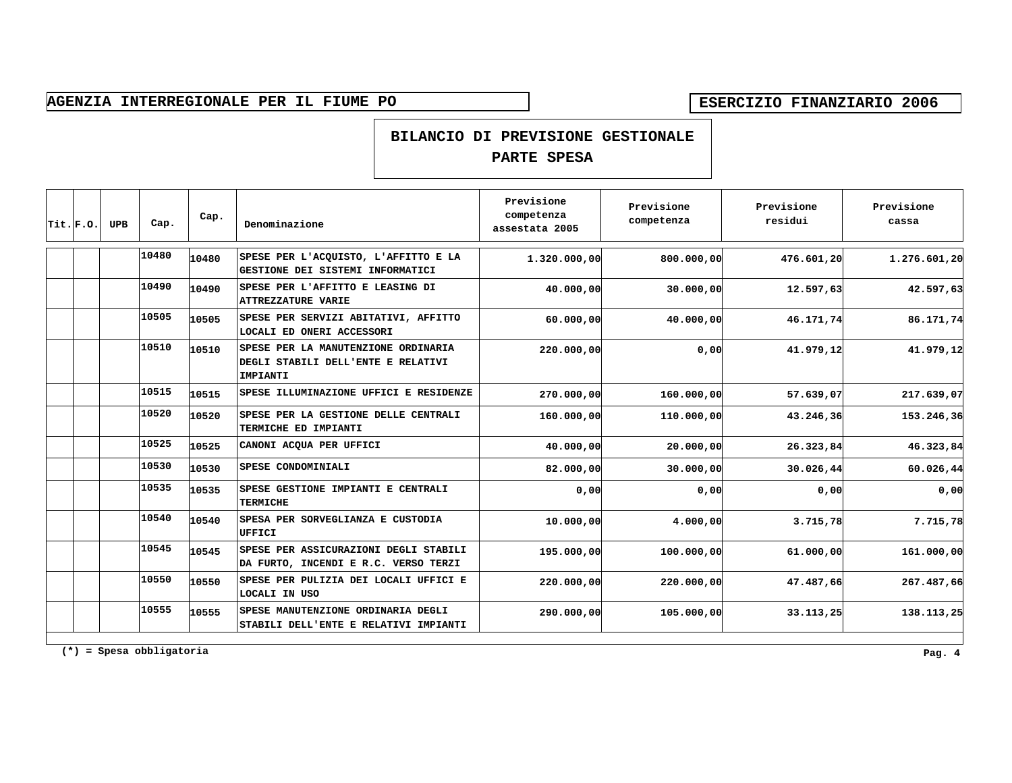### **BILANCIO DI PREVISIONE GESTIONALE**

## **PARTE SPESA**

| Trit.F.0. | <b>UPB</b> | Cap.  | Cap.  | Denominazione                                                                         | Previsione<br>competenza<br>assestata 2005 | Previsione<br>competenza | Previsione<br>residui | Previsione<br>cassa |
|-----------|------------|-------|-------|---------------------------------------------------------------------------------------|--------------------------------------------|--------------------------|-----------------------|---------------------|
|           |            | 10480 | 10480 | SPESE PER L'ACQUISTO, L'AFFITTO E LA<br>GESTIONE DEI SISTEMI INFORMATICI              | 1.320.000,00                               | 800,000,00               | 476.601,20            | 1.276.601,20        |
|           |            | 10490 | 10490 | SPESE PER L'AFFITTO E LEASING DI<br><b>ATTREZZATURE VARIE</b>                         | 40,000,00                                  | 30.000,00                | 12.597,63             | 42.597,63           |
|           |            | 10505 | 10505 | SPESE PER SERVIZI ABITATIVI, AFFITTO<br>LOCALI ED ONERI ACCESSORI                     | 60.000,00                                  | 40,000,00                | 46.171,74             | 86.171,74           |
|           |            | 10510 | 10510 | SPESE PER LA MANUTENZIONE ORDINARIA<br>DEGLI STABILI DELL'ENTE E RELATIVI<br>IMPIANTI | 220,000,00                                 | 0,00                     | 41.979,12             | 41.979,12           |
|           |            | 10515 | 10515 | SPESE ILLUMINAZIONE UFFICI E RESIDENZE                                                | 270,000,00                                 | 160,000,00               | 57.639,07             | 217.639,07          |
|           |            | 10520 | 10520 | SPESE PER LA GESTIONE DELLE CENTRALI<br>TERMICHE ED IMPIANTI                          | 160.000,00                                 | 110.000,00               | 43.246,36             | 153.246,36          |
|           |            | 10525 | 10525 | CANONI ACQUA PER UFFICI                                                               | 40.000,00                                  | 20.000,00                | 26.323,84             | 46.323,84           |
|           |            | 10530 | 10530 | SPESE CONDOMINIALI                                                                    | 82.000,00                                  | 30.000,00                | 30.026,44             | 60.026,44           |
|           |            | 10535 | 10535 | SPESE GESTIONE IMPIANTI E CENTRALI<br><b>TERMICHE</b>                                 | 0,00                                       | 0,00                     | 0,00                  | 0,00                |
|           |            | 10540 | 10540 | SPESA PER SORVEGLIANZA E CUSTODIA<br>UFFICI                                           | 10,000,00                                  | 4.000,00                 | 3.715,78              | 7.715,78            |
|           |            | 10545 | 10545 | SPESE PER ASSICURAZIONI DEGLI STABILI<br>DA FURTO, INCENDI E R.C. VERSO TERZI         | 195.000,00                                 | 100,000,00               | 61.000,00             | 161.000,00          |
|           |            | 10550 | 10550 | SPESE PER PULIZIA DEI LOCALI UFFICI E<br>LOCALI IN USO                                | 220,000,00                                 | 220,000,00               | 47.487,66             | 267.487,66          |
|           |            | 10555 | 10555 | SPESE MANUTENZIONE ORDINARIA DEGLI<br>STABILI DELL'ENTE E RELATIVI IMPIANTI           | 290,000,00                                 | 105,000,00               | 33.113,25             | 138.113,25          |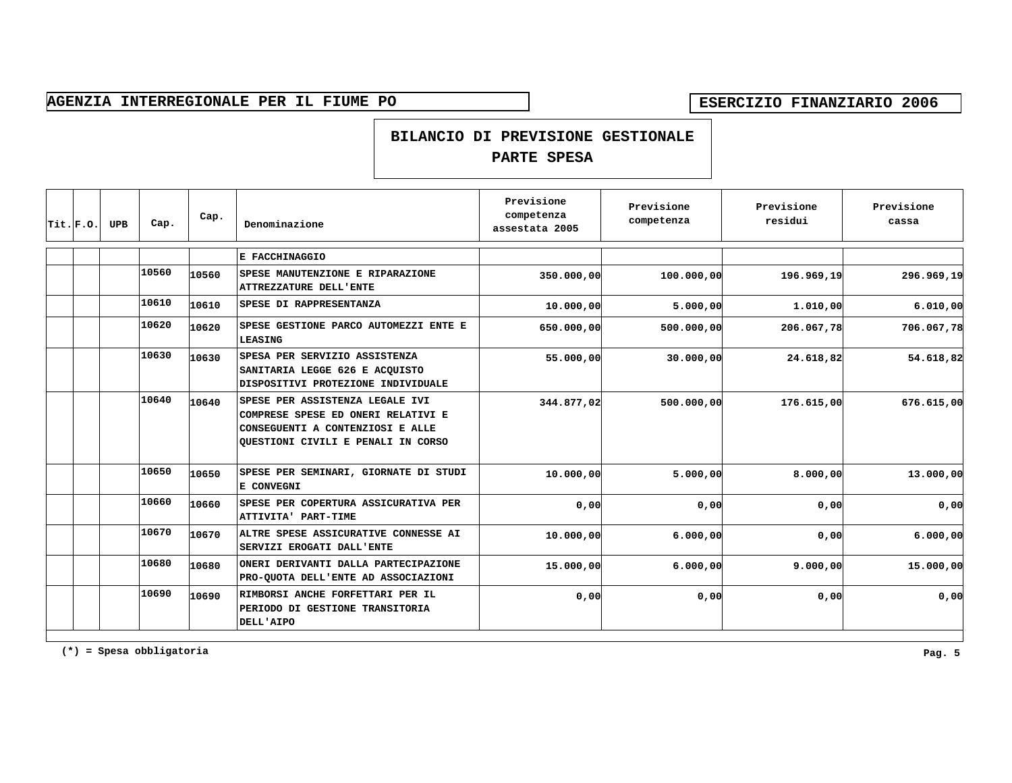### **BILANCIO DI PREVISIONE GESTIONALE**

## **PARTE SPESA**

| $Trit.$ $F.$ o. | <b>UPB</b> | Cap.  | Cap.  | Denominazione                                                                                                                                   | Previsione<br>competenza<br>assestata 2005 | Previsione<br>competenza | Previsione<br>residui | Previsione<br>cassa |
|-----------------|------------|-------|-------|-------------------------------------------------------------------------------------------------------------------------------------------------|--------------------------------------------|--------------------------|-----------------------|---------------------|
|                 |            |       |       | E FACCHINAGGIO                                                                                                                                  |                                            |                          |                       |                     |
|                 |            | 10560 | 10560 | SPESE MANUTENZIONE E RIPARAZIONE<br>ATTREZZATURE DELL'ENTE                                                                                      | 350.000,00                                 | 100,000,00               | 196.969,19            | 296.969,19          |
|                 |            | 10610 | 10610 | SPESE DI RAPPRESENTANZA                                                                                                                         | 10.000,00                                  | 5.000,00                 | 1,010,00              | 6.010,00            |
|                 |            | 10620 | 10620 | SPESE GESTIONE PARCO AUTOMEZZI ENTE E<br>LEASING                                                                                                | 650,000,00                                 | 500,000,00               | 206.067,78            | 706.067,78          |
|                 |            | 10630 | 10630 | SPESA PER SERVIZIO ASSISTENZA<br>SANITARIA LEGGE 626 E ACQUISTO<br>DISPOSITIVI PROTEZIONE INDIVIDUALE                                           | 55.000,00                                  | 30,000,00                | 24.618,82             | 54.618,82           |
|                 |            | 10640 | 10640 | SPESE PER ASSISTENZA LEGALE IVI<br>COMPRESE SPESE ED ONERI RELATIVI E<br>CONSEGUENTI A CONTENZIOSI E ALLE<br>QUESTIONI CIVILI E PENALI IN CORSO | 344.877,02                                 | 500.000,00               | 176.615,00            | 676.615,00          |
|                 |            | 10650 | 10650 | SPESE PER SEMINARI, GIORNATE DI STUDI<br>E CONVEGNI                                                                                             | 10.000,00                                  | 5.000,00                 | 8.000,00              | 13.000,00           |
|                 |            | 10660 | 10660 | SPESE PER COPERTURA ASSICURATIVA PER<br>ATTIVITA' PART-TIME                                                                                     | 0,00                                       | 0,00                     | 0,00                  | 0,00                |
|                 |            | 10670 | 10670 | ALTRE SPESE ASSICURATIVE CONNESSE AI<br>SERVIZI EROGATI DALL'ENTE                                                                               | 10.000,00                                  | 6.000,00                 | 0,00                  | 6.000,00            |
|                 |            | 10680 | 10680 | ONERI DERIVANTI DALLA PARTECIPAZIONE<br>PRO-QUOTA DELL'ENTE AD ASSOCIAZIONI                                                                     | 15.000,00                                  | 6.000,00                 | 9.000,00              | 15.000,00           |
|                 |            | 10690 | 10690 | RIMBORSI ANCHE FORFETTARI PER IL<br>PERIODO DI GESTIONE TRANSITORIA<br>DELL'AIPO                                                                | 0,00                                       | 0,00                     | 0,00                  | 0,00                |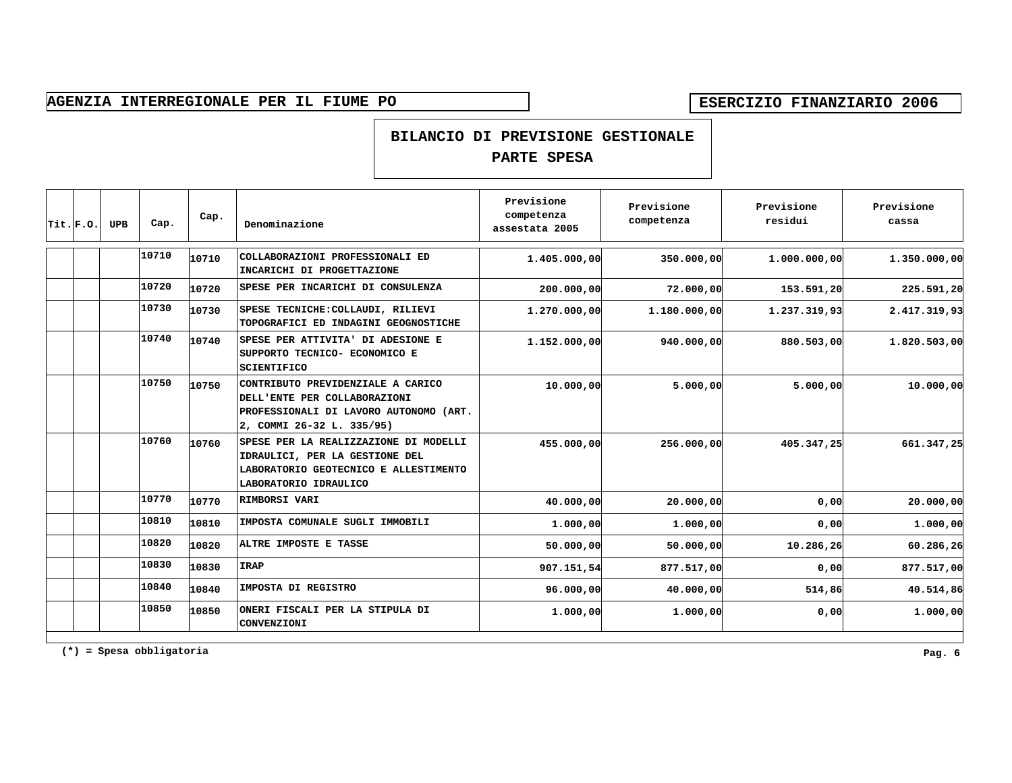**BILANCIO DI PREVISIONE GESTIONALE**

## **PARTE SPESA**

| $ \texttt{Tit.} $ F.O. | <b>UPB</b> | Cap.  | Cap.  | Denominazione                                                                                                                             | Previsione<br>competenza<br>assestata 2005 | Previsione<br>competenza | Previsione<br>residui | Previsione<br>cassa |
|------------------------|------------|-------|-------|-------------------------------------------------------------------------------------------------------------------------------------------|--------------------------------------------|--------------------------|-----------------------|---------------------|
|                        |            | 10710 | 10710 | COLLABORAZIONI PROFESSIONALI ED<br>INCARICHI DI PROGETTAZIONE                                                                             | 1.405.000,00                               | 350.000,00               | 1.000.000,00          | 1.350.000,00        |
|                        |            | 10720 | 10720 | SPESE PER INCARICHI DI CONSULENZA                                                                                                         | 200.000,00                                 | 72.000,00                | 153.591,20            | 225.591,20          |
|                        |            | 10730 | 10730 | SPESE TECNICHE: COLLAUDI, RILIEVI<br>TOPOGRAFICI ED INDAGINI GEOGNOSTICHE                                                                 | 1.270.000,00                               | 1.180.000,00             | 1.237.319,93          | 2.417.319,93        |
|                        |            | 10740 | 10740 | SPESE PER ATTIVITA' DI ADESIONE E<br>SUPPORTO TECNICO- ECONOMICO E<br><b>SCIENTIFICO</b>                                                  | 1.152.000,00                               | 940,000,00               | 880,503,00            | 1.820.503,00        |
|                        |            | 10750 | 10750 | CONTRIBUTO PREVIDENZIALE A CARICO<br>DELL'ENTE PER COLLABORAZIONI<br>PROFESSIONALI DI LAVORO AUTONOMO (ART.<br>2, COMMI 26-32 L. 335/95)  | 10.000,00                                  | 5.000,00                 | 5.000,00              | 10.000,00           |
|                        |            | 10760 | 10760 | SPESE PER LA REALIZZAZIONE DI MODELLI<br>IDRAULICI, PER LA GESTIONE DEL<br>LABORATORIO GEOTECNICO E ALLESTIMENTO<br>LABORATORIO IDRAULICO | 455.000,00                                 | 256.000,00               | 405.347,25            | 661.347,25          |
|                        |            | 10770 | 10770 | RIMBORSI VARI                                                                                                                             | 40.000,00                                  | 20.000,00                | 0,00                  | 20.000,00           |
|                        |            | 10810 | 10810 | IMPOSTA COMUNALE SUGLI IMMOBILI                                                                                                           | 1.000,00                                   | 1.000,00                 | 0,00                  | 1.000,00            |
|                        |            | 10820 | 10820 | ALTRE IMPOSTE E TASSE                                                                                                                     | 50.000,00                                  | 50.000,00                | 10.286,26             | 60.286,26           |
|                        |            | 10830 | 10830 | <b>IRAP</b>                                                                                                                               | 907.151,54                                 | 877.517,00               | 0,00                  | 877.517,00          |
|                        |            | 10840 | 10840 | IMPOSTA DI REGISTRO                                                                                                                       | 96.000,00                                  | 40.000,00                | 514,86                | 40.514,86           |
|                        |            | 10850 | 10850 | ONERI FISCALI PER LA STIPULA DI<br>CONVENZIONI                                                                                            | 1.000,00                                   | 1.000,00                 | 0,00                  | 1.000,00            |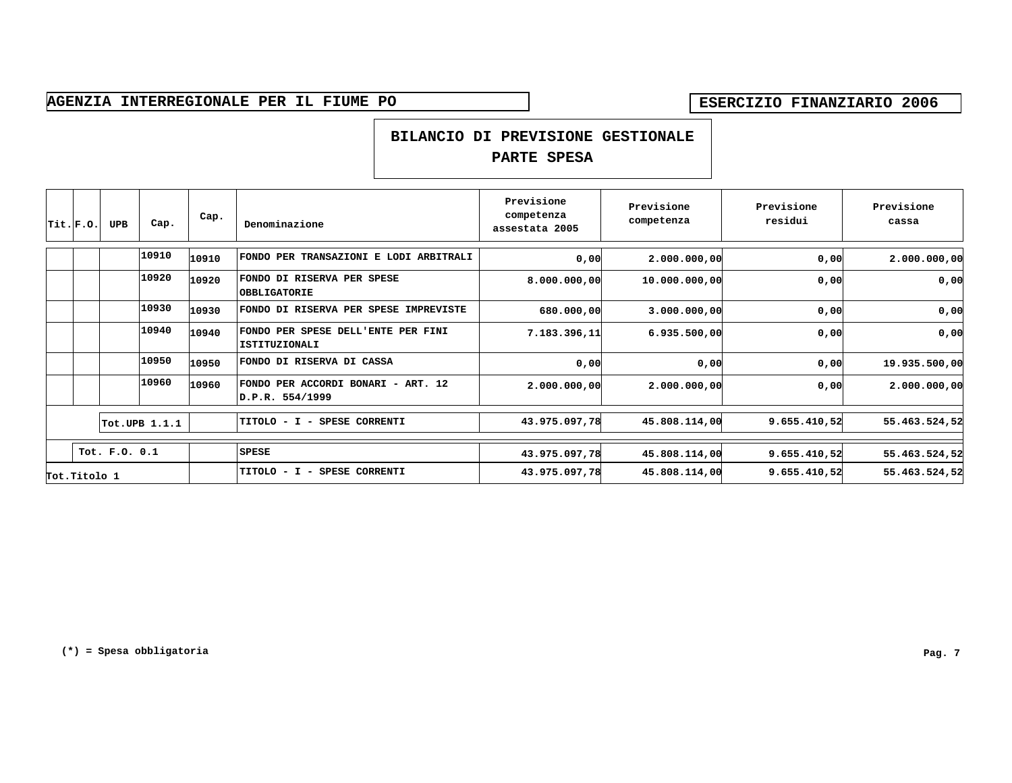### **BILANCIO DI PREVISIONE GESTIONALE**

| $ $ Tit. $ $ F.O. | <b>UPB</b>    | Cap.          | Cap.  | Denominazione                                         | Previsione<br>competenza<br>assestata 2005 | Previsione<br>competenza | Previsione<br>residui | Previsione<br>cassa |
|-------------------|---------------|---------------|-------|-------------------------------------------------------|--------------------------------------------|--------------------------|-----------------------|---------------------|
|                   |               | 10910         | 10910 | FONDO PER TRANSAZIONI E LODI ARBITRALI                | 0,00                                       | 2.000.000,00             | 0,00                  | 2.000.000,00        |
|                   |               | 10920         | 10920 | FONDO DI RISERVA PER SPESE<br><b>OBBLIGATORIE</b>     | 8.000.000,00                               | 10.000.000,00            | 0,00                  | 0,00                |
|                   |               | 10930         | 10930 | FONDO DI RISERVA PER SPESE IMPREVISTE                 | 680,000,00                                 | 3.000.000,00             | 0,00                  | 0,00                |
|                   |               | 10940         | 10940 | FONDO PER SPESE DELL'ENTE PER FINI<br>ISTITUZIONALI   | 7.183.396,11                               | 6.935.500,00             | 0,00                  | 0,00                |
|                   |               | 10950         | 10950 | FONDO DI RISERVA DI CASSA                             | 0,00                                       | 0,00                     | 0,00                  | 19.935.500,00       |
|                   |               | 10960         | 10960 | FONDO PER ACCORDI BONARI - ART. 12<br>D.P.R. 554/1999 | 2.000.000,00                               | 2.000.000,00             | 0,00                  | 2.000.000,00        |
|                   |               | Tot.UPB 1.1.1 |       | <b>SPESE CORRENTI</b><br>TITOLO - I -                 | 43.975.097,78                              | 45.808.114,00            | 9.655.410,52          | 55.463.524,52       |
|                   | Tot. F.O. 0.1 |               |       | <b>SPESE</b>                                          | 43.975.097,78                              | 45.808.114,00            | 9.655.410,52          | 55.463.524,52       |
| Tot. Titolo 1     |               |               |       | TITOLO - I -<br><b>SPESE CORRENTI</b>                 | 43.975.097,78                              | 45.808.114,00            | 9.655.410,52          | 55.463.524,52       |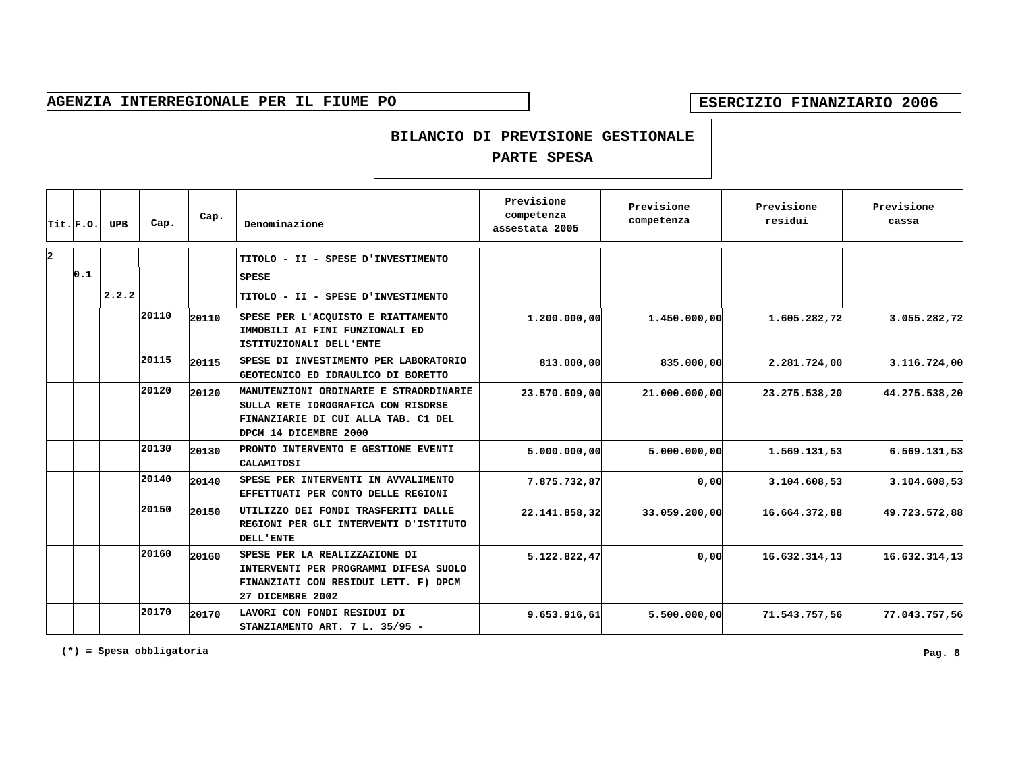#### **BILANCIO DI PREVISIONE GESTIONALE**

### **PARTE SPESA**

|    | $ $ Tit. $ $ F.O. | <b>UPB</b> | Cap.  | Cap.  | Denominazione                                                                                                                                | Previsione<br>competenza<br>assestata 2005 | Previsione<br>competenza | Previsione<br>residui | Previsione<br>cassa |
|----|-------------------|------------|-------|-------|----------------------------------------------------------------------------------------------------------------------------------------------|--------------------------------------------|--------------------------|-----------------------|---------------------|
| l2 |                   |            |       |       | TITOLO - II - SPESE D'INVESTIMENTO                                                                                                           |                                            |                          |                       |                     |
|    | 0.1               |            |       |       | <b>SPESE</b>                                                                                                                                 |                                            |                          |                       |                     |
|    |                   | 2.2.2      |       |       | TITOLO - II - SPESE D'INVESTIMENTO                                                                                                           |                                            |                          |                       |                     |
|    |                   |            | 20110 | 20110 | SPESE PER L'ACQUISTO E RIATTAMENTO<br>IMMOBILI AI FINI FUNZIONALI ED<br>ISTITUZIONALI DELL'ENTE                                              | 1.200.000,00                               | 1.450.000,00             | 1.605.282,72          | 3.055.282,72        |
|    |                   |            | 20115 | 20115 | SPESE DI INVESTIMENTO PER LABORATORIO<br>GEOTECNICO ED IDRAULICO DI BORETTO                                                                  | 813,000,00                                 | 835.000,00               | 2.281.724,00          | 3.116.724,00        |
|    |                   |            | 20120 | 20120 | MANUTENZIONI ORDINARIE E STRAORDINARIE<br>SULLA RETE IDROGRAFICA CON RISORSE<br>FINANZIARIE DI CUI ALLA TAB. C1 DEL<br>DPCM 14 DICEMBRE 2000 | 23.570.609,00                              | 21,000,000,00            | 23.275.538,20         | 44.275.538,20       |
|    |                   |            | 20130 | 20130 | PRONTO INTERVENTO E GESTIONE EVENTI<br>CALAMITOSI                                                                                            | 5.000.000,00                               | 5.000.000,00             | 1.569.131,53          | 6.569.131,53        |
|    |                   |            | 20140 | 20140 | SPESE PER INTERVENTI IN AVVALIMENTO<br>EFFETTUATI PER CONTO DELLE REGIONI                                                                    | 7.875.732,87                               | 0,00                     | 3.104.608,53          | 3.104.608,53        |
|    |                   |            | 20150 | 20150 | UTILIZZO DEI FONDI TRASFERITI DALLE<br>REGIONI PER GLI INTERVENTI D'ISTITUTO<br><b>DELL'ENTE</b>                                             | 22.141.858,32                              | 33.059.200,00            | 16.664.372,88         | 49.723.572,88       |
|    |                   |            | 20160 | 20160 | SPESE PER LA REALIZZAZIONE DI<br>INTERVENTI PER PROGRAMMI DIFESA SUOLO<br>FINANZIATI CON RESIDUI LETT. F) DPCM<br>27 DICEMBRE 2002           | 5.122.822,47                               | 0,00                     | 16.632.314,13         | 16.632.314,13       |
|    |                   |            | 20170 | 20170 | LAVORI CON FONDI RESIDUI DI<br>STANZIAMENTO ART. 7 L. 35/95 -                                                                                | 9.653.916,61                               | 5.500.000,00             | 71.543.757.56         | 77.043.757,56       |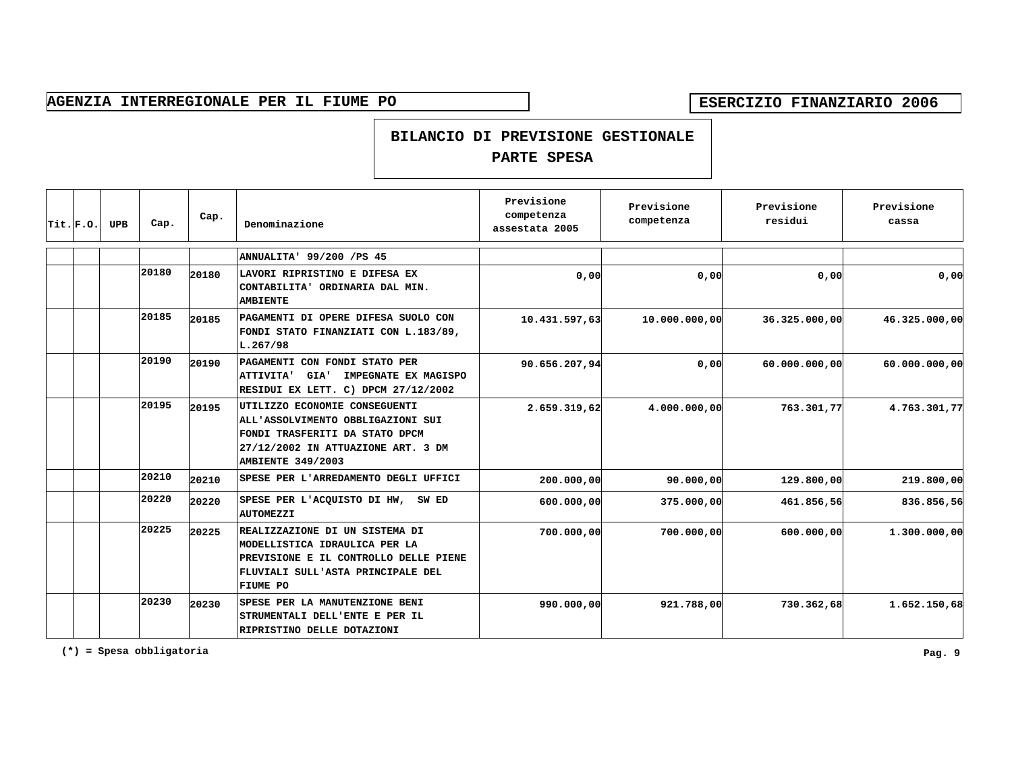### **BILANCIO DI PREVISIONE GESTIONALE**

## **PARTE SPESA**

| Trit.F.0. | <b>UPB</b> | Cap.  | Cap.  | Denominazione                                                                                                                                                          | Previsione<br>competenza<br>assestata 2005 | Previsione<br>competenza | Previsione<br>residui | Previsione<br>cassa |
|-----------|------------|-------|-------|------------------------------------------------------------------------------------------------------------------------------------------------------------------------|--------------------------------------------|--------------------------|-----------------------|---------------------|
|           |            |       |       | ANNUALITA' 99/200 /PS 45                                                                                                                                               |                                            |                          |                       |                     |
|           |            | 20180 | 20180 | LAVORI RIPRISTINO E DIFESA EX<br>CONTABILITA' ORDINARIA DAL MIN.<br><b>AMBIENTE</b>                                                                                    | 0,00                                       | 0,00                     | 0,00                  | 0,00                |
|           |            | 20185 | 20185 | PAGAMENTI DI OPERE DIFESA SUOLO CON<br>FONDI STATO FINANZIATI CON L.183/89,<br>L.267/98                                                                                | 10.431.597,63                              | 10.000.000,00            | 36.325.000,00         | 46.325.000,00       |
|           |            | 20190 | 20190 | PAGAMENTI CON FONDI STATO PER<br>IMPEGNATE EX MAGISPO<br>ATTIVITA' GIA'<br>RESIDUI EX LETT. C) DPCM 27/12/2002                                                         | 90.656.207, 94                             | 0,00                     | 60.000.000,00         | 60.000.000,00       |
|           |            | 20195 | 20195 | UTILIZZO ECONOMIE CONSEGUENTI<br>ALL'ASSOLVIMENTO OBBLIGAZIONI SUI<br>FONDI TRASFERITI DA STATO DPCM<br>27/12/2002 IN ATTUAZIONE ART. 3 DM<br><b>AMBIENTE 349/2003</b> | 2.659.319,62                               | 4.000.000,00             | 763.301,77            | 4.763.301,77        |
|           |            | 20210 | 20210 | SPESE PER L'ARREDAMENTO DEGLI UFFICI                                                                                                                                   | 200,000,00                                 | 90,000,00                | 129,800,00            | 219.800,00          |
|           |            | 20220 | 20220 | SPESE PER L'ACQUISTO DI HW, SW ED<br><b>AUTOMEZZI</b>                                                                                                                  | 600,000,00                                 | 375.000,00               | 461.856,56            | 836.856,56          |
|           |            | 20225 | 20225 | REALIZZAZIONE DI UN SISTEMA DI<br>MODELLISTICA IDRAULICA PER LA<br>PREVISIONE E IL CONTROLLO DELLE PIENE<br>FLUVIALI SULL'ASTA PRINCIPALE DEL<br>FIUME PO              | 700,000,00                                 | 700,000,00               | 600,000,00            | 1.300.000,00        |
|           |            | 20230 | 20230 | SPESE PER LA MANUTENZIONE BENI<br>STRUMENTALI DELL'ENTE E PER IL<br>RIPRISTINO DELLE DOTAZIONI                                                                         | 990,000,00                                 | 921.788,00               | 730.362,68            | 1.652.150,68        |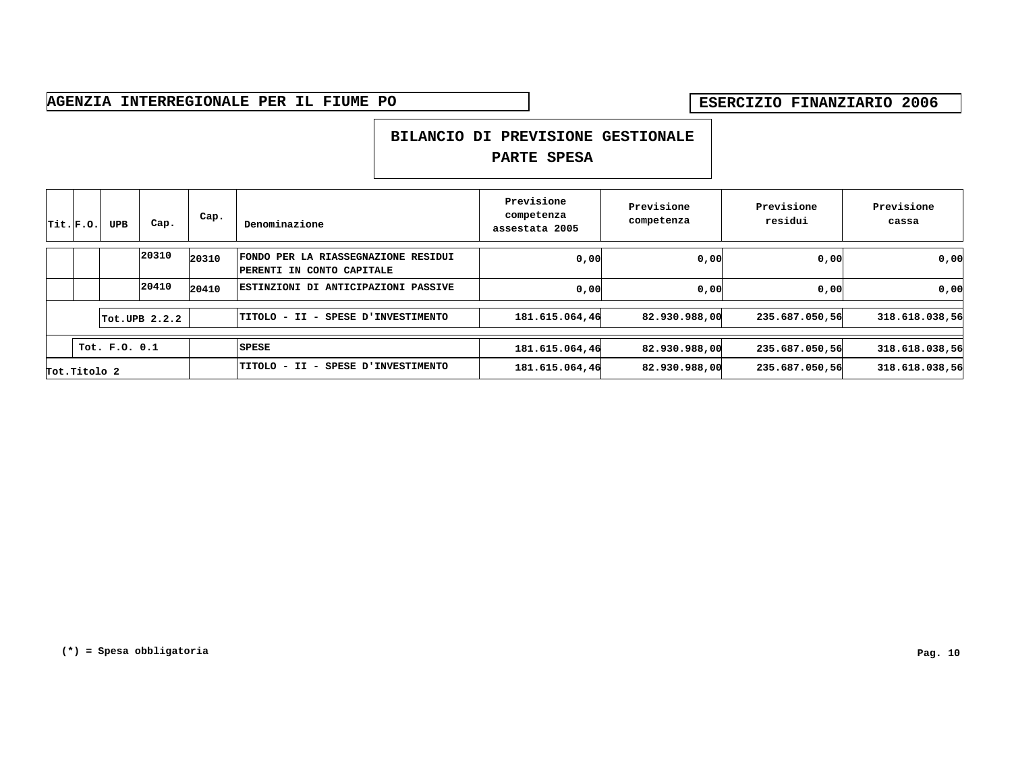### **BILANCIO DI PREVISIONE GESTIONALE**

| Trit.F.0.    | <b>UPB</b>    | Cap.                     | Cap.  | Denominazione                                                           | Previsione<br>competenza<br>assestata 2005 | Previsione<br>competenza | Previsione<br>residui | Previsione<br>cassa |
|--------------|---------------|--------------------------|-------|-------------------------------------------------------------------------|--------------------------------------------|--------------------------|-----------------------|---------------------|
|              |               | 20310                    | 20310 | <b>FONDO PER LA RIASSEGNAZIONE RESIDUI</b><br>PERENTI IN CONTO CAPITALE | 0,00                                       | 0,00                     | 0,00                  | 0,00                |
|              |               | 20410                    | 20410 | <b>ESTINZIONI DI ANTICIPAZIONI PASSIVE</b>                              | 0,00                                       | 0,00                     | 0,00                  | 0,00                |
|              |               | $\texttt{Tot.UPB}$ 2.2.2 |       | TITOLO - II - SPESE D'INVESTIMENTO                                      | 181.615.064,46                             | 82.930.988,00            | 235.687.050,56        | 318.618.038,56      |
|              | Tot. F.O. 0.1 |                          |       | SPESE                                                                   | 181.615.064,46                             | 82.930.988,00            | 235.687.050,56        | 318.618.038,56      |
| Tot.Titolo 2 |               |                          |       | SPESE D'INVESTIMENTO<br>TITOLO – II<br>$\overline{\phantom{a}}$         | 181.615.064,46                             | 82.930.988,00            | 235.687.050,56        | 318.618.038,56      |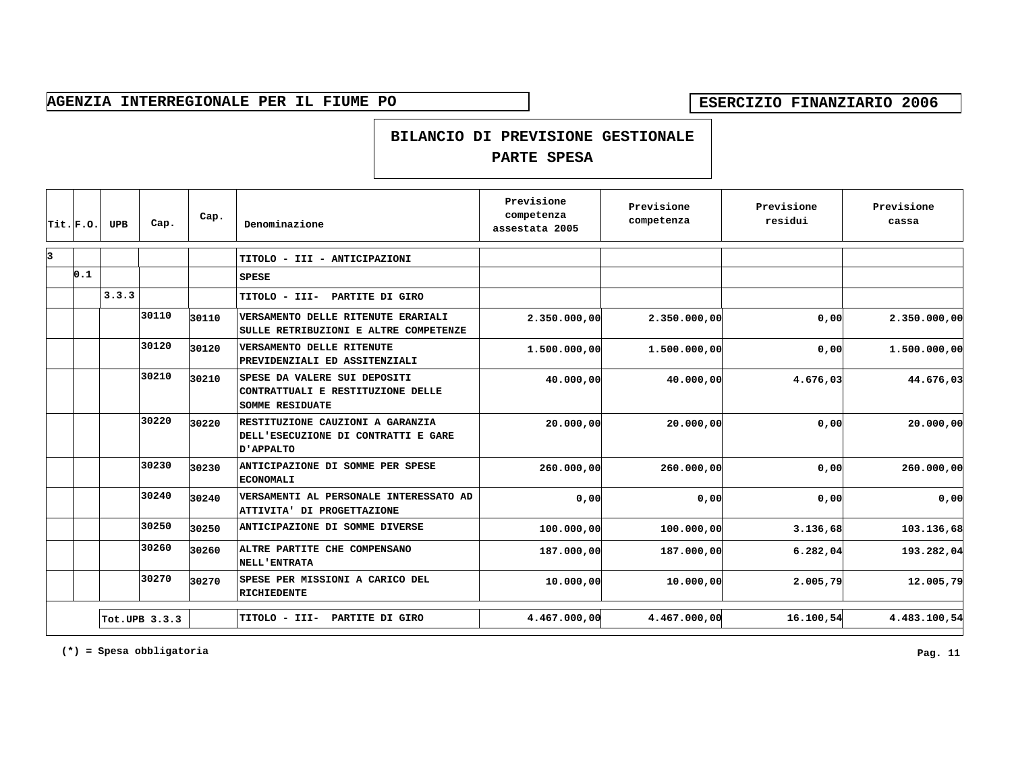#### **BILANCIO DI PREVISIONE GESTIONALE**

### **PARTE SPESA**

|    | $ $ Tit. $ $ F.O. | <b>UPB</b> | Cap.          | Cap.  | Denominazione                                                                               | Previsione<br>competenza<br>assestata 2005 | Previsione<br>competenza | Previsione<br>residui | Previsione<br>cassa |
|----|-------------------|------------|---------------|-------|---------------------------------------------------------------------------------------------|--------------------------------------------|--------------------------|-----------------------|---------------------|
| lз |                   |            |               |       | TITOLO - III - ANTICIPAZIONI                                                                |                                            |                          |                       |                     |
|    | 0.1               |            |               |       | <b>SPESE</b>                                                                                |                                            |                          |                       |                     |
|    |                   | 3.3.3      |               |       | TITOLO - III- PARTITE DI GIRO                                                               |                                            |                          |                       |                     |
|    |                   |            | 30110         | 30110 | VERSAMENTO DELLE RITENUTE ERARIALI<br>SULLE RETRIBUZIONI E ALTRE COMPETENZE                 | 2.350.000,00                               | 2.350.000,00             | 0,00                  | 2.350.000,00        |
|    |                   |            | 30120         | 30120 | VERSAMENTO DELLE RITENUTE<br>PREVIDENZIALI ED ASSITENZIALI                                  | 1.500.000,00                               | 1.500.000,00             | 0,00                  | 1.500.000,00        |
|    |                   |            | 30210         | 30210 | SPESE DA VALERE SUI DEPOSITI<br>CONTRATTUALI E RESTITUZIONE DELLE<br><b>SOMME RESIDUATE</b> | 40.000,00                                  | 40.000,00                | 4.676,03              | 44.676,03           |
|    |                   |            | 30220         | 30220 | RESTITUZIONE CAUZIONI A GARANZIA<br>DELL'ESECUZIONE DI CONTRATTI E GARE<br>D'APPALTO        | 20.000,00                                  | 20.000,00                | 0,00                  | 20.000,00           |
|    |                   |            | 30230         | 30230 | ANTICIPAZIONE DI SOMME PER SPESE<br><b>ECONOMALI</b>                                        | 260.000,00                                 | 260,000,00               | 0,00                  | 260.000,00          |
|    |                   |            | 30240         | 30240 | VERSAMENTI AL PERSONALE INTERESSATO AD<br>ATTIVITA' DI PROGETTAZIONE                        | 0,00                                       | 0,00                     | 0,00                  | 0,00                |
|    |                   |            | 30250         | 30250 | ANTICIPAZIONE DI SOMME DIVERSE                                                              | 100,000,00                                 | 100,000,00               | 3.136,68              | 103.136,68          |
|    |                   |            | 30260         | 30260 | ALTRE PARTITE CHE COMPENSANO<br><b>NELL'ENTRATA</b>                                         | 187.000,00                                 | 187.000,00               | 6.282,04              | 193.282,04          |
|    |                   |            | 30270         | 30270 | SPESE PER MISSIONI A CARICO DEL<br>RICHIEDENTE                                              | 10.000,00                                  | 10.000,00                | 2.005,79              | 12.005,79           |
|    |                   |            | Tot.UPB 3.3.3 |       | TITOLO - III- PARTITE DI GIRO                                                               | 4.467.000,00                               | 4.467.000,00             | 16.100,54             | 4.483.100,54        |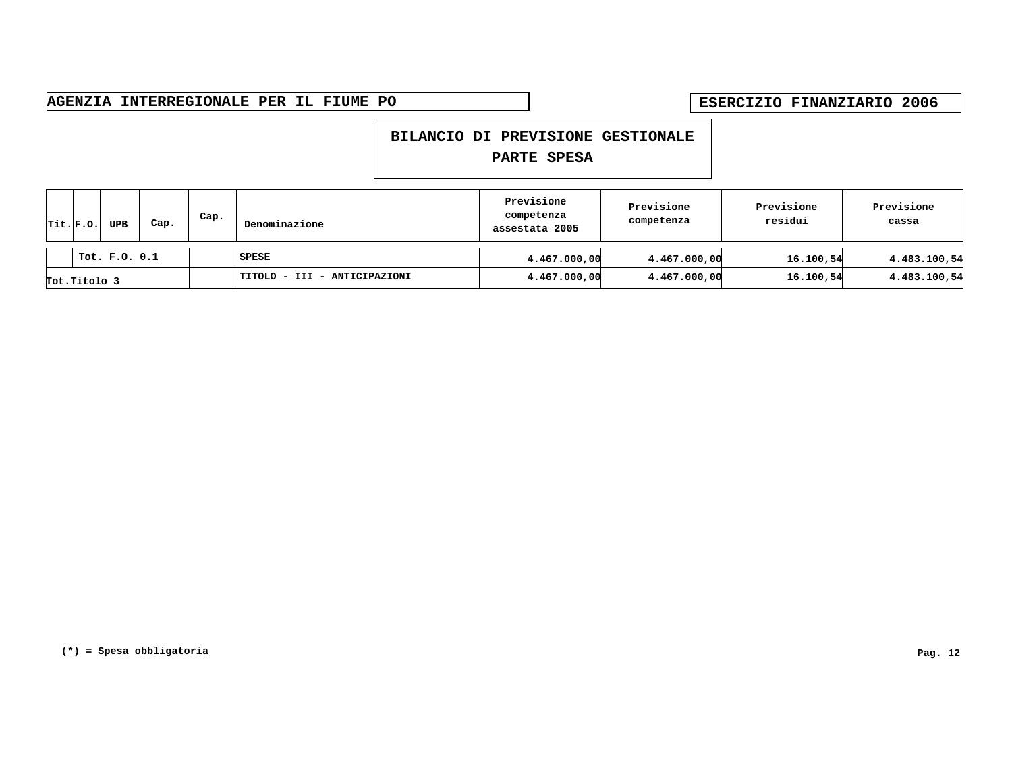### **BILANCIO DI PREVISIONE GESTIONALE**

|  | $ $ Tit. $ $ F.O. | <b>UPB</b> | Cap. | Cap. | Denominazione                | Previsione<br>competenza<br>assestata 2005 | Previsione<br>competenza | Previsione<br>residui | Previsione<br>cassa |
|--|-------------------|------------|------|------|------------------------------|--------------------------------------------|--------------------------|-----------------------|---------------------|
|  | Tot. F.O. 0.1     |            |      |      | SPESE                        | 4.467.000,00                               | 4.467.000,00             | 16.100,54             | 4.483.100,54        |
|  | Tot.Titolo 3      |            |      |      | TITOLO - III - ANTICIPAZIONI | 4.467.000,00                               | 4.467.000,00             | 16.100,54             | 4.483.100,54        |